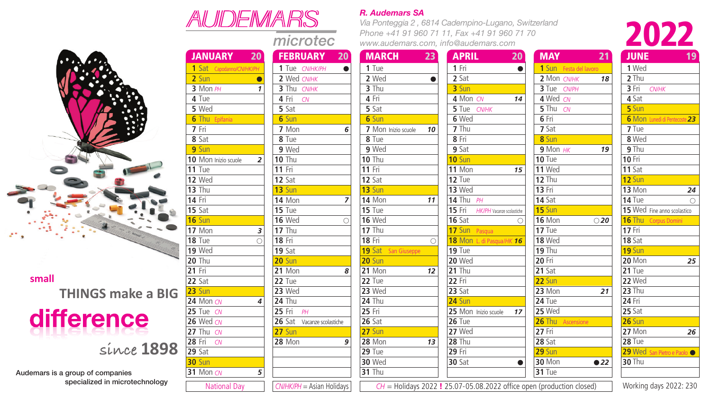

**small THINGS make a BIG**

## difference

**since 1898**

**31** Mon CN

Audemars is a group of companies specialized in microtechnology

| AUDEMARS                  |                            |  |  |  |  |  |  |  |
|---------------------------|----------------------------|--|--|--|--|--|--|--|
|                           | microtec                   |  |  |  |  |  |  |  |
| <b>JANUARY</b><br>20      | <b>FEBRUARY</b><br>20      |  |  |  |  |  |  |  |
| 1 Sat Capodanno/CN/HK/PH  | 1 Tue CN/HK/PH<br>●        |  |  |  |  |  |  |  |
| $2$ Sun<br>C              | 2 Wed CN/HK                |  |  |  |  |  |  |  |
| 3 Mon PH<br>1             | 3 Thu CN/HK                |  |  |  |  |  |  |  |
| 4 Tue                     | 4 Fri CN                   |  |  |  |  |  |  |  |
| 5 Wed                     | 5 Sat                      |  |  |  |  |  |  |  |
| <b>6</b> Thu Epifania     | 6 Sun                      |  |  |  |  |  |  |  |
| 7 Fri                     | 7 Mon<br>6                 |  |  |  |  |  |  |  |
| 8 Sat                     | 8 Tue                      |  |  |  |  |  |  |  |
| 9 Sun                     | 9 Wed                      |  |  |  |  |  |  |  |
| 10 Mon Inizio scuole<br>2 | $10$ Thu                   |  |  |  |  |  |  |  |
| $11$ Tue                  | <b>11 Fri</b>              |  |  |  |  |  |  |  |
| 12 Wed                    | 12 Sat                     |  |  |  |  |  |  |  |
| $13$ Thu                  | 13 Sun                     |  |  |  |  |  |  |  |
| <b>14 Fri</b>             | <b>14 Mon</b><br>7         |  |  |  |  |  |  |  |
| 15 Sat                    | $15$ Tue                   |  |  |  |  |  |  |  |
| 16 Sun                    | <b>16 Wed</b><br>∩         |  |  |  |  |  |  |  |
| 17 Mon<br>3               | $17$ Thu                   |  |  |  |  |  |  |  |
| <b>18 Tue</b><br>C        | <b>18 Fri</b>              |  |  |  |  |  |  |  |
| <b>19 Wed</b>             | 19 Sat                     |  |  |  |  |  |  |  |
| <b>20 Thu</b>             | <b>20 Sun</b>              |  |  |  |  |  |  |  |
| 21 Fri                    | <b>21 Mon</b><br>8         |  |  |  |  |  |  |  |
| $22$ Sat                  | $22$ Tue                   |  |  |  |  |  |  |  |
| $23$ Sun                  | 23 Wed                     |  |  |  |  |  |  |  |
| 24 Mon CN<br>4            | $24$ Thu                   |  |  |  |  |  |  |  |
| 25 Tue CN                 | 25 Fri <i>PH</i>           |  |  |  |  |  |  |  |
| 26 Wed CN                 | 26 Sat Vacanze scolastiche |  |  |  |  |  |  |  |
| 27 Thu CN                 | <b>27 Sun</b>              |  |  |  |  |  |  |  |
| 28 Fri<br>CN              | <b>28 Mon</b><br>9         |  |  |  |  |  |  |  |
| $29$ Sat                  |                            |  |  |  |  |  |  |  |
| $30$ Sun                  |                            |  |  |  |  |  |  |  |

*CN/HK/PH* = Asian Holidays

## *R. Audemars SA R. Audemars SA*

*Via Ponteggia 2 , 6814 Cadempino-Lugano, Switzerland Via Ponteggia 2 , 6814 Cadempino-Lugano, Switzerland Phone +41 91 960 71 11, Fax +41 91 960 71 70 Phone +41 91 960 71 11, Fax +41 91 960 71 70 www.audemars.com, info@audemars.com www.audemars.com, info@audemars.com*



| <b>JANUARY</b><br>$20^{\circ}$ |   | <b>FEBRUARY</b>            | $20^{\circ}$ | <b>MARCH</b>        | 23         | <b>APRIL</b>                     | $20^{\circ}$ | <b>MAY</b>             | 21            | <b>JUNE</b>                   | 19 |
|--------------------------------|---|----------------------------|--------------|---------------------|------------|----------------------------------|--------------|------------------------|---------------|-------------------------------|----|
| 1 Sat Capodanno/CN/HK/PH       |   | 1 Tue CN/HK/PH             | $\bullet$    | 1 Tue               |            | 1 Fri                            | $\bullet$    | 1 Sun Festa del lavoro |               | 1 Wed                         |    |
| 2 Sun                          |   | 2 Wed CN/HK                |              | 2 Wed               | $\bullet$  | 2 Sat                            |              | 2 Mon CN/HK            | 18            | 2 Thu                         |    |
| 3 Mon $PH$                     |   | 3 Thu CN/HK                |              | 3 Thu               |            | 3 Sun                            |              | 3 Tue CN/PH            |               | 3 Fri<br><b>CN/HK</b>         |    |
| 4 Tue                          |   | 4 Fri<br>CN                |              | 4 Fri               |            | 4 Mon CN                         | 14           | 4 Wed CN               |               | 4 Sat                         |    |
| 5 Wed                          |   | 5 Sat                      |              | 5 Sat               |            | 5 Tue CN/HK                      |              | 5 Thu $CN$             |               | 5 Sun                         |    |
| <b>6</b> Thu Epifania          |   | 6 Sun                      |              | 6 Sun               |            | 6 Wed                            |              | 6 Fri                  |               | 6 Mon Lunedi di Pentecoste 23 |    |
| 7 Fri                          |   | 7 Mon                      | 6            | 7 Mon Inizio scuole | 10         | 7 Thu                            |              | 7 Sat                  |               | 7 Tue                         |    |
| 8 Sat                          |   | 8 Tue                      |              | 8 Tue               |            | 8 Fri                            |              | 8 Sun                  |               | 8 Wed                         |    |
| 9 Sun                          |   | 9 Wed                      |              | 9 Wed               |            | 9 Sat                            |              | $9$ Mon $HK$           | 19            | 9 Thu                         |    |
| <b>0</b> Mon Inizio scuole     | 2 | $10$ Thu                   |              | $10$ Thu            |            | $10 \mathrm{Sun}$                |              | $10$ Tue               |               | <b>10 Fri</b>                 |    |
| 1 Tue                          |   | <b>11 Fri</b>              |              | <b>11 Fri</b>       |            | 11 Mon                           | 15           | <b>11 Wed</b>          |               | $11$ Sat                      |    |
| 2 Wed                          |   | $12$ Sat                   |              | $12$ Sat            |            | 12 Tue                           |              | <b>12 Thu</b>          |               | 12 Sun                        |    |
| 3 Thu                          |   | $13$ Sun                   |              | $13$ Sun            |            | 13 Wed                           |              | <b>13 Fri</b>          |               | 13 Mon                        | 24 |
| 4 Fri                          |   | <b>14 Mon</b>              | 7            | <b>14 Mon</b>       | 11         | 14 Thu $PH$                      |              | $14$ Sat               |               | $14$ Tue                      | ∩  |
| 5 Sat                          |   | $15$ Tue                   |              | $15$ Tue            |            | 15 Fri HK/PH Vacanze scolastiche |              | 15 Sun                 |               | 15 Wed Fine anno scolastico   |    |
| 6 Sun                          |   | <b>16 Wed</b>              | $\bigcirc$   | <b>16 Wed</b>       |            | $16$ Sat                         | $\bigcirc$   | <b>16 Mon</b>          | $\bigcirc$ 20 | <b>16 Thu Corpus Domini</b>   |    |
| 7 Mon                          | 3 | $17$ Thu                   |              | <b>17 Thu</b>       |            | 17 Sun Pasqua                    |              | 17 Tue                 |               | <b>17 Fri</b>                 |    |
| 8 Tue                          | ∩ | <b>18 Fri</b>              |              | <b>18 Fri</b>       | $\bigcirc$ | 18 Mon L. di Pasqua/HK 16        |              | <b>18 Wed</b>          |               | 18 Sat                        |    |
| 9 Wed                          |   | $19$ Sat                   |              | 19 Sat San Giuseppe |            | $19$ Tue                         |              | <b>19 Thu</b>          |               | 19 Sun                        |    |
| 0 Thu                          |   | <b>20 Sun</b>              |              | <b>20 Sun</b>       |            | <b>20 Wed</b>                    |              | $20$ Fri               |               | 20 Mon                        | 25 |
| 1 Fri                          |   | 21 Mon                     | 8            | 21 Mon              | 12         | <b>21 Thu</b>                    |              | $21$ Sat               |               | $21$ Tue                      |    |
| 2 Sat                          |   | $22$ Tue                   |              | 22 Tue              |            | <b>22 Fri</b>                    |              | 22 Sun                 |               | 22 Wed                        |    |
| 3 Sun                          |   | 23 Wed                     |              | 23 Wed              |            | 23 Sat                           |              | 23 Mon                 | 21            | $23$ Thu                      |    |
| 4 Mon CN                       | 4 | $24$ Thu                   |              | $24$ Thu            |            | <b>24 Sun</b>                    |              | $24$ Tue               |               | <b>24 Fri</b>                 |    |
| 5 Tue CN                       |   | 25 Fri $PH$                |              | <b>25 Fri</b>       |            | 25 Mon Inizio scuole             | 17           | 25 Wed                 |               | <b>25 Sat</b>                 |    |
| 6 Wed CN                       |   | 26 Sat Vacanze scolastiche |              | <b>26 Sat</b>       |            | <b>26 Tue</b>                    |              | 26 Thu Ascensione      |               | <b>26 Sun</b>                 |    |
| <b>7</b> Thu $CN$              |   | <b>27 Sun</b>              |              | 27 Sun              |            | 27 Wed                           |              | <b>27 Fri</b>          |               | 27 Mon                        | 26 |
| 8 Fri CN                       |   | <b>28 Mon</b>              | 9            | <b>28 Mon</b>       | 13         | <b>28 Thu</b>                    |              | <b>28 Sat</b>          |               | <b>28 Tue</b>                 |    |
| 9 Sat                          |   |                            |              | $29$ Tue            |            | <b>29 Fri</b>                    |              | 29 Sun                 |               | 29 Wed San Pietro e Paolo     |    |
| <b>0</b> Sun                   |   |                            |              | <b>30 Wed</b>       |            | <b>30 Sat</b>                    | $\bullet$    | <b>30 Mon</b>          | $\bullet$ 22  | $30$ Thu                      |    |
| 1 Mon CN                       | 5 |                            |              | <b>31 Thu</b>       |            |                                  |              | 31 Tue                 |               |                               |    |

National Day  $\boxed{\text{CWHK}$ PH = Asian Holidays  $\boxed{\text{C}H = \text{Holidays } 2022 : 25.07 - 05.08.2022}$  office open (production closed) Working days 2022: 230